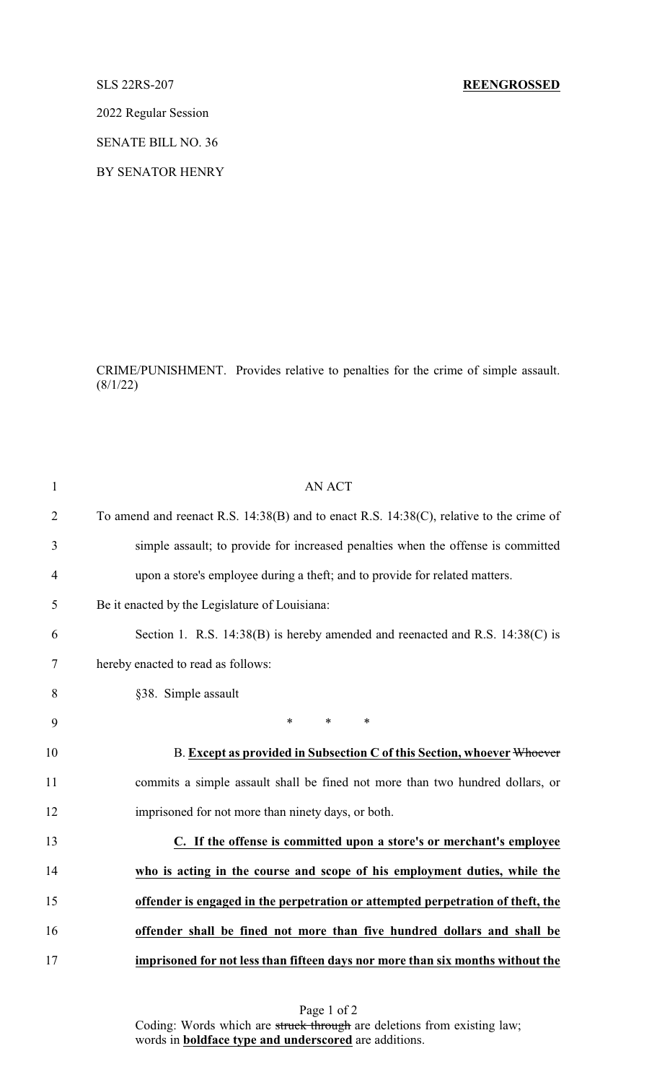# SLS 22RS-207 **REENGROSSED**

2022 Regular Session

SENATE BILL NO. 36

BY SENATOR HENRY

CRIME/PUNISHMENT. Provides relative to penalties for the crime of simple assault.  $(8/1/22)$ 

| $\mathbf{1}$   | <b>AN ACT</b>                                                                                |
|----------------|----------------------------------------------------------------------------------------------|
| $\overline{2}$ | To amend and reenact R.S. $14:38(B)$ and to enact R.S. $14:38(C)$ , relative to the crime of |
| 3              | simple assault; to provide for increased penalties when the offense is committed             |
| $\overline{4}$ | upon a store's employee during a theft; and to provide for related matters.                  |
| 5              | Be it enacted by the Legislature of Louisiana:                                               |
| 6              | Section 1. R.S. 14:38(B) is hereby amended and reenacted and R.S. 14:38(C) is                |
| 7              | hereby enacted to read as follows:                                                           |
| 8              | §38. Simple assault                                                                          |
| 9              | $\ast$<br>$\ast$<br>$\ast$                                                                   |
| 10             | B. Except as provided in Subsection C of this Section, whoever Whoever                       |
| 11             | commits a simple assault shall be fined not more than two hundred dollars, or                |
| 12             | imprisoned for not more than ninety days, or both.                                           |
| 13             | C. If the offense is committed upon a store's or merchant's employee                         |
| 14             | who is acting in the course and scope of his employment duties, while the                    |
| 15             | offender is engaged in the perpetration or attempted perpetration of theft, the              |
| 16             | offender shall be fined not more than five hundred dollars and shall be                      |
| 17             | imprisoned for not less than fifteen days nor more than six months without the               |
|                |                                                                                              |

Page 1 of 2 Coding: Words which are struck through are deletions from existing law; words in **boldface type and underscored** are additions.